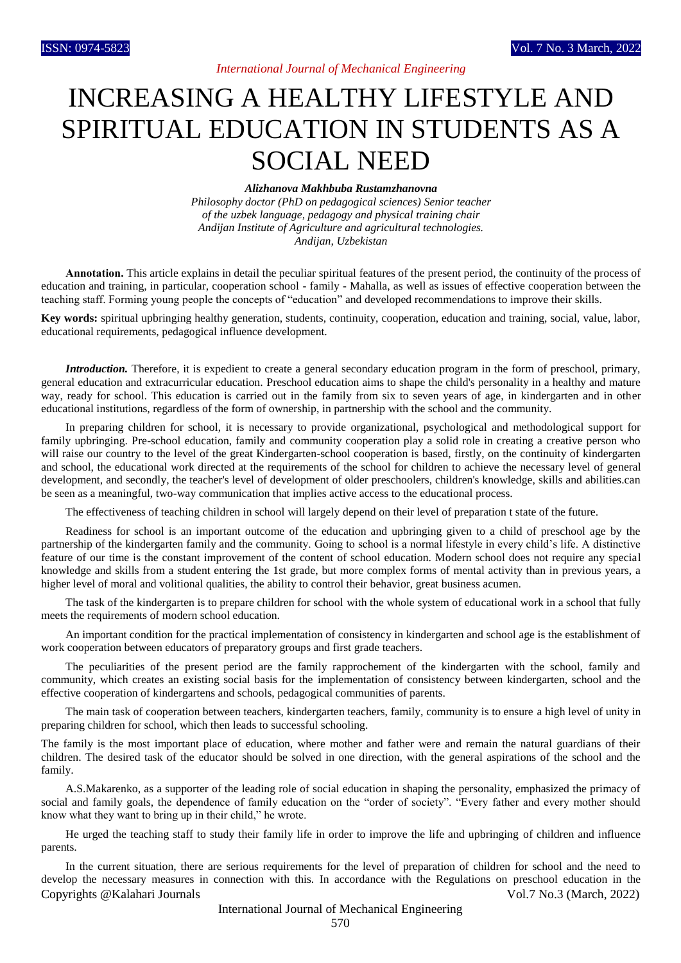## *International Journal of Mechanical Engineering*

# INCREASING A HEALTHY LIFESTYLE AND SPIRITUAL EDUCATION IN STUDENTS AS A SOCIAL NEED

#### *Alizhanova Makhbuba Rustamzhanovna*

*Philosophy doctor (PhD on pedagogical sciences) Senior teacher of the uzbek language, pedagogy and physical training chair Andijan Institute of Agriculture and agricultural technologies. Andijan, Uzbekistan*

**Аnnotation.** This article explains in detail the peculiar spiritual features of the present period, the continuity of the process of education and training, in particular, cooperation school - family - Mahalla, as well as issues of effective cooperation between the teaching staff. Forming young people the concepts of "education" and developed recommendations to improve their skills.

**Key words:** spiritual upbringing healthy generation, students, continuity, cooperation, education and training, social, value, labor, educational requirements, pedagogical influence development.

*Introduction*. Therefore, it is expedient to create a general secondary education program in the form of preschool, primary, general education and extracurricular education. Preschool education aims to shape the child's personality in a healthy and mature way, ready for school. This education is carried out in the family from six to seven years of age, in kindergarten and in other educational institutions, regardless of the form of ownership, in partnership with the school and the community.

In preparing children for school, it is necessary to provide organizational, psychological and methodological support for family upbringing. Pre-school education, family and community cooperation play a solid role in creating a creative person who will raise our country to the level of the great Kindergarten-school cooperation is based, firstly, on the continuity of kindergarten and school, the educational work directed at the requirements of the school for children to achieve the necessary level of general development, and secondly, the teacher's level of development of older preschoolers, children's knowledge, skills and abilities.can be seen as a meaningful, two-way communication that implies active access to the educational process.

The effectiveness of teaching children in school will largely depend on their level of preparation t state of the future.

Readiness for school is an important outcome of the education and upbringing given to a child of preschool age by the partnership of the kindergarten family and the community. Going to school is a normal lifestyle in every child's life. A distinctive feature of our time is the constant improvement of the content of school education. Modern school does not require any special knowledge and skills from a student entering the 1st grade, but more complex forms of mental activity than in previous years, a higher level of moral and volitional qualities, the ability to control their behavior, great business acumen.

The task of the kindergarten is to prepare children for school with the whole system of educational work in a school that fully meets the requirements of modern school education.

An important condition for the practical implementation of consistency in kindergarten and school age is the establishment of work cooperation between educators of preparatory groups and first grade teachers.

The peculiarities of the present period are the family rapprochement of the kindergarten with the school, family and community, which creates an existing social basis for the implementation of consistency between kindergarten, school and the effective cooperation of kindergartens and schools, pedagogical communities of parents.

The main task of cooperation between teachers, kindergarten teachers, family, community is to ensure a high level of unity in preparing children for school, which then leads to successful schooling.

The family is the most important place of education, where mother and father were and remain the natural guardians of their children. The desired task of the educator should be solved in one direction, with the general aspirations of the school and the family.

A.S.Makarenko, as a supporter of the leading role of social education in shaping the personality, emphasized the primacy of social and family goals, the dependence of family education on the "order of society". "Every father and every mother should know what they want to bring up in their child," he wrote.

He urged the teaching staff to study their family life in order to improve the life and upbringing of children and influence parents.

Copyrights @Kalahari Journals Vol.7 No.3 (March, 2022) In the current situation, there are serious requirements for the level of preparation of children for school and the need to develop the necessary measures in connection with this. In accordance with the Regulations on preschool education in the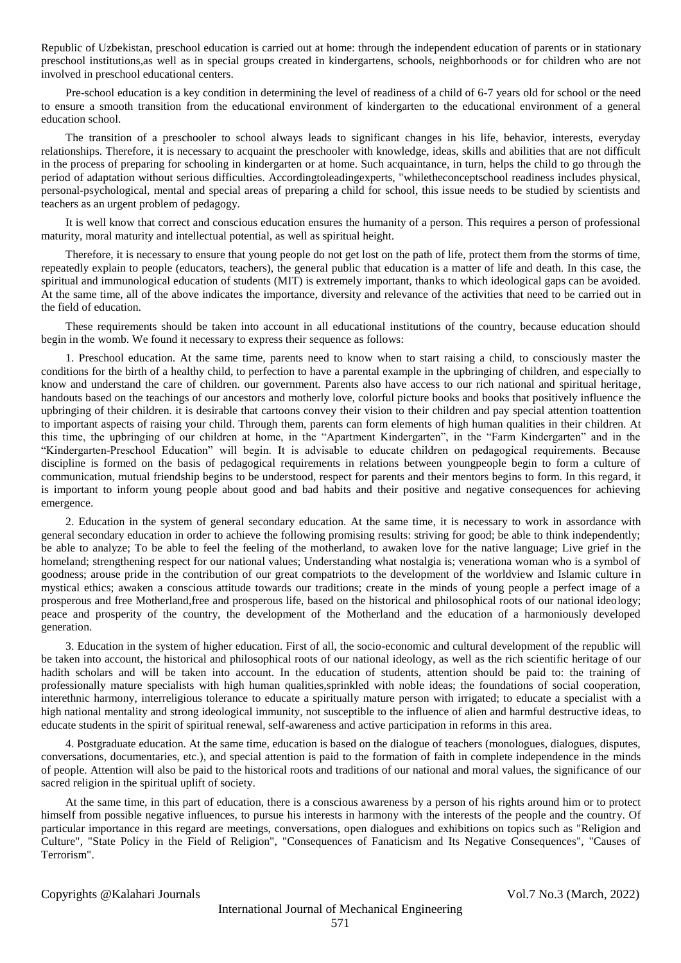Republic of Uzbekistan, preschool education is carried out at home: through the independent education of parents or in stationary preschool institutions,as well as in special groups created in kindergartens, schools, neighborhoods or for children who are not involved in preschool educational centers.

Pre-school education is a key condition in determining the level of readiness of a child of 6-7 years old for school or the need to ensure a smooth transition from the educational environment of kindergarten to the educational environment of a general education school.

The transition of a preschooler to school always leads to significant changes in his life, behavior, interests, everyday relationships. Therefore, it is necessary to acquaint the preschooler with knowledge, ideas, skills and abilities that are not difficult in the process of preparing for schooling in kindergarten or at home. Such acquaintance, in turn, helps the child to go through the period of adaptation without serious difficulties. Accordingtoleadingexperts, "whiletheconceptschool readiness includes physical, personal-psychological, mental and special areas of preparing a child for school, this issue needs to be studied by scientists and teachers as an urgent problem of pedagogy.

It is well know that correct and conscious education ensures the humanity of a person. This requires a person of professional maturity, moral maturity and intellectual potential, as well as spiritual height.

Therefore, it is necessary to ensure that young people do not get lost on the path of life, protect them from the storms of time, repeatedly explain to people (educators, teachers), the general public that education is a matter of life and death. In this case, the spiritual and immunological education of students (MIT) is extremely important, thanks to which ideological gaps can be avoided. At the same time, all of the above indicates the importance, diversity and relevance of the activities that need to be carried out in the field of education.

These requirements should be taken into account in all educational institutions of the country, because education should begin in the womb. We found it necessary to express their sequence as follows:

1. Preschool education. At the same time, parents need to know when to start raising a child, to consciously master the conditions for the birth of a healthy child, to perfection to have a parental example in the upbringing of children, and especially to know and understand the care of children. our government. Parents also have access to our rich national and spiritual heritage, handouts based on the teachings of our ancestors and motherly love, colorful picture books and books that positively influence the upbringing of their children. it is desirable that cartoons convey their vision to their children and pay special attention toattention to important aspects of raising your child. Through them, parents can form elements of high human qualities in their children. At this time, the upbringing of our children at home, in the "Apartment Kindergarten", in the "Farm Kindergarten" and in the "Kindergarten-Preschool Education" will begin. It is advisable to educate children on pedagogical requirements. Because discipline is formed on the basis of pedagogical requirements in relations between youngpeople begin to form a culture of communication, mutual friendship begins to be understood, respect for parents and their mentors begins to form. In this regard, it is important to inform young people about good and bad habits and their positive and negative consequences for achieving emergence.

2. Education in the system of general secondary education. At the same time, it is necessary to work in assordance with general secondary education in order to achieve the following promising results: striving for good; be able to think independently; be able to analyze; To be able to feel the feeling of the motherland, to awaken love for the native language; Live grief in the homeland; strengthening respect for our national values; Understanding what nostalgia is; venerationa woman who is a symbol of goodness; arouse pride in the contribution of our great compatriots to the development of the worldview and Islamic culture in mystical ethics; awaken a conscious attitude towards our traditions; create in the minds of young people a perfect image of a prosperous and free Motherland,free and prosperous life, based on the historical and philosophical roots of our national ideology; peace and prosperity of the country, the development of the Motherland and the education of a harmoniously developed generation.

3. Education in the system of higher education. First of all, the socio-economic and cultural development of the republic will be taken into account, the historical and philosophical roots of our national ideology, as well as the rich scientific heritage of our hadith scholars and will be taken into account. In the education of students, attention should be paid to: the training of professionally mature specialists with high human qualities,sprinkled with noble ideas; the foundations of social cooperation, interethnic harmony, interreligious tolerance to educate a spiritually mature person with irrigated; to educate a specialist with a high national mentality and strong ideological immunity, not susceptible to the influence of alien and harmful destructive ideas, to educate students in the spirit of spiritual renewal, self-awareness and active participation in reforms in this area.

4. Postgraduate education. At the same time, education is based on the dialogue of teachers (monologues, dialogues, disputes, conversations, documentaries, etc.), and special attention is paid to the formation of faith in complete independence in the minds of people. Attention will also be paid to the historical roots and traditions of our national and moral values, the significance of our sacred religion in the spiritual uplift of society.

At the same time, in this part of education, there is a conscious awareness by a person of his rights around him or to protect himself from possible negative influences, to pursue his interests in harmony with the interests of the people and the country. Of particular importance in this regard are meetings, conversations, open dialogues and exhibitions on topics such as "Religion and Culture", "State Policy in the Field of Religion", "Consequences of Fanaticism and Its Negative Consequences", "Causes of Terrorism".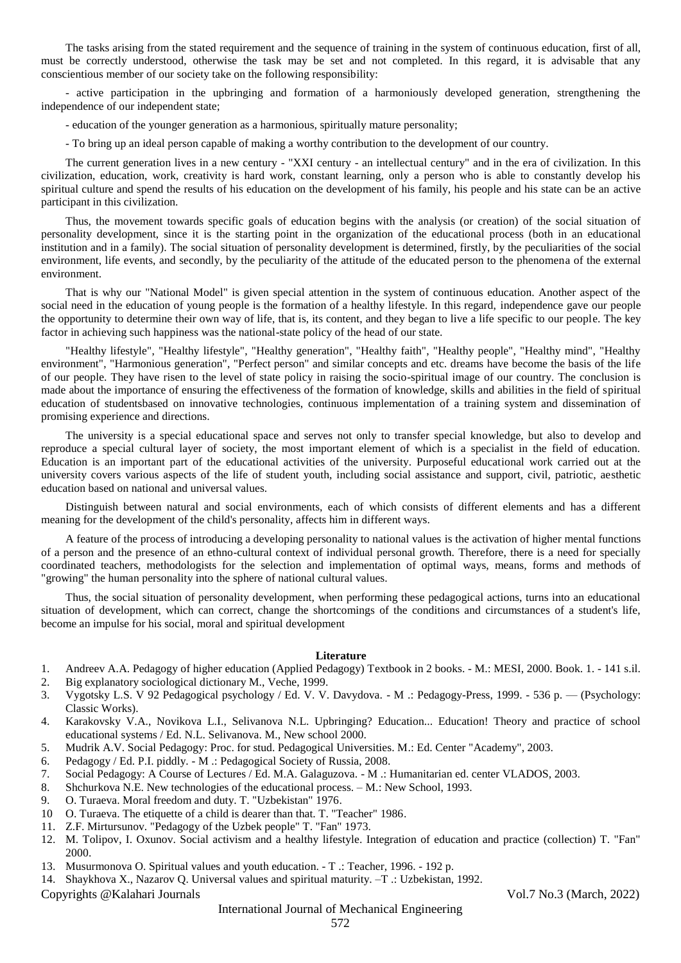The tasks arising from the stated requirement and the sequence of training in the system of continuous education, first of all, must be correctly understood, otherwise the task may be set and not completed. In this regard, it is advisable that any conscientious member of our society take on the following responsibility:

- active participation in the upbringing and formation of a harmoniously developed generation, strengthening the independence of our independent state;

- education of the younger generation as a harmonious, spiritually mature personality;

- To bring up an ideal person capable of making a worthy contribution to the development of our country.

The current generation lives in a new century - "XXI century - an intellectual century" and in the era of civilization. In this civilization, education, work, creativity is hard work, constant learning, only a person who is able to constantly develop his spiritual culture and spend the results of his education on the development of his family, his people and his state can be an active participant in this civilization.

Thus, the movement towards specific goals of education begins with the analysis (or creation) of the social situation of personality development, since it is the starting point in the organization of the educational process (both in an educational institution and in a family). The social situation of personality development is determined, firstly, by the peculiarities of the social environment, life events, and secondly, by the peculiarity of the attitude of the educated person to the phenomena of the external environment.

That is why our "National Model" is given special attention in the system of continuous education. Another aspect of the social need in the education of young people is the formation of a healthy lifestyle. In this regard, independence gave our people the opportunity to determine their own way of life, that is, its content, and they began to live a life specific to our people. The key factor in achieving such happiness was the national-state policy of the head of our state.

"Healthy lifestyle", "Healthy lifestyle", "Healthy generation", "Healthy faith", "Healthy people", "Healthy mind", "Healthy environment", "Harmonious generation", "Perfect person" and similar concepts and etc. dreams have become the basis of the life of our people. They have risen to the level of state policy in raising the socio-spiritual image of our country. The conclusion is made about the importance of ensuring the effectiveness of the formation of knowledge, skills and abilities in the field of spiritual education of studentsbased on innovative technologies, continuous implementation of a training system and dissemination of promising experience and directions.

The university is a special educational space and serves not only to transfer special knowledge, but also to develop and reproduce a special cultural layer of society, the most important element of which is a specialist in the field of education. Education is an important part of the educational activities of the university. Purposeful educational work carried out at the university covers various aspects of the life of student youth, including social assistance and support, civil, patriotic, aesthetic education based on national and universal values.

Distinguish between natural and social environments, each of which consists of different elements and has a different meaning for the development of the child's personality, affects him in different ways.

A feature of the process of introducing a developing personality to national values is the activation of higher mental functions of a person and the presence of an ethno-cultural context of individual personal growth. Therefore, there is a need for specially coordinated teachers, methodologists for the selection and implementation of optimal ways, means, forms and methods of "growing" the human personality into the sphere of national cultural values.

Thus, the social situation of personality development, when performing these pedagogical actions, turns into an educational situation of development, which can correct, change the shortcomings of the conditions and circumstances of a student's life, become an impulse for his social, moral and spiritual development

### **Literature**

- 1. Andreev A.A. Pedagogy of higher education (Applied Pedagogy) Textbook in 2 books. M.: MESI, 2000. Book. 1. 141 s.il.
- 2. Big explanatory sociological dictionary M., Veche, 1999.
- 3. Vygotsky L.S. V 92 Pedagogical psychology / Ed. V. V. Davydova. M .: Pedagogy-Press, 1999. 536 p. (Psychology: Classic Works).
- 4. Karakovsky V.A., Novikova L.I., Selivanova N.L. Upbringing? Education... Education! Theory and practice of school educational systems / Ed. N.L. Selivanova. M., New school 2000.
- 5. Mudrik A.V. Social Pedagogy: Proc. for stud. Pedagogical Universities. M.: Ed. Center "Academy", 2003.
- 6. Pedagogy / Ed. P.I. piddly. M .: Pedagogical Society of Russia, 2008.
- 7. Social Pedagogy: A Course of Lectures / Ed. M.A. Galaguzova. M .: Humanitarian ed. center VLADOS, 2003.
- 8. Shchurkova N.E. New technologies of the educational process. M.: New School, 1993.
- 9. O. Turaeva. Moral freedom and duty. T. "Uzbekistan" 1976.
- 10 O. Turaeva. The etiquette of a child is dearer than that. T. "Teacher" 1986.
- 11. Z.F. Mirtursunov. "Pedagogy of the Uzbek people" T. "Fan" 1973.
- 12. M. Tolipov, I. Oxunov. Social activism and a healthy lifestyle. Integration of education and practice (collection) T. "Fan" 2000.
- 13. Musurmonova O. Spiritual values and youth education. T .: Teacher, 1996. 192 p.
- 14. Shaykhova X., Nazarov Q. Universal values and spiritual maturity. –T .: Uzbekistan, 1992.

Copyrights @Kalahari Journals Vol.7 No.3 (March, 2022)

## International Journal of Mechanical Engineering